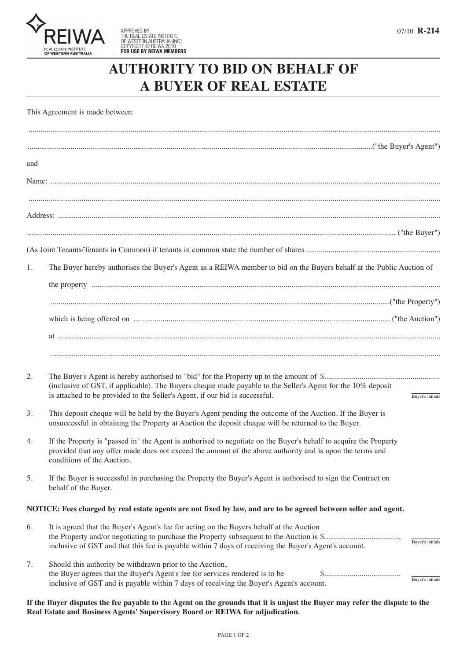

## **AUTHORITY TO BID ON BEHALF OF A BUYER OF REAL ESTATE**

This Agreement is made between:

| and |                                                                                                                                                                                                                                                             |                  |
|-----|-------------------------------------------------------------------------------------------------------------------------------------------------------------------------------------------------------------------------------------------------------------|------------------|
|     |                                                                                                                                                                                                                                                             |                  |
|     |                                                                                                                                                                                                                                                             |                  |
|     |                                                                                                                                                                                                                                                             |                  |
|     |                                                                                                                                                                                                                                                             |                  |
|     |                                                                                                                                                                                                                                                             |                  |
|     |                                                                                                                                                                                                                                                             |                  |
| 1.  | The Buyer hereby authorises the Buyer's Agent as a REIWA member to bid on the Buyers behalf at the Public Auction of                                                                                                                                        |                  |
|     |                                                                                                                                                                                                                                                             |                  |
|     |                                                                                                                                                                                                                                                             |                  |
|     |                                                                                                                                                                                                                                                             |                  |
|     |                                                                                                                                                                                                                                                             |                  |
|     |                                                                                                                                                                                                                                                             |                  |
| 2.  | (inclusive of GST, if applicable). The Buyers cheque made payable to the Seller's Agent for the 10% deposit<br>is attached to be provided to the Seller's Agent, if our bid is successful.                                                                  | Buyer's initials |
| 3.  | This deposit cheque will be held by the Buyer's Agent pending the outcome of the Auction. If the Buyer is<br>unsuccessful in obtaining the Property at Auction the deposit cheque will be returned to the Buyer.                                            |                  |
| 4.  | If the Property is "passed in" the Agent is authorised to negotiate on the Buyer's behalf to acquire the Property<br>provided that any offer made does not exceed the amount of the above authority and is upon the terms and<br>conditions of the Auction. |                  |
| 5.  | If the Buyer is successful in purchasing the Property the Buyer's Agent is authorised to sign the Contract on<br>behalf of the Buyer.                                                                                                                       |                  |
|     | NOTICE: Fees charged by real estate agents are not fixed by law, and are to be agreed between seller and agent.                                                                                                                                             |                  |
| 6.  | It is agreed that the Buyer's Agent's fee for acting on the Buyers behalf at the Auction<br>inclusive of GST and that this fee is payable within 7 days of receiving the Buyer's Agent's account.                                                           | Buyer's initials |
| 7.  | Should this authority be withdrawn prior to the Auction,<br>the Buyer agrees that the Buyer's Agent's fee for services rendered is to be<br>\$<br>inclusive of GST and is payable within 7 days of receiving the Buyer's Agent's account.                   | Buyer's initials |

If the Buyer disputes the fee payable to the Agent on the grounds that it is unjust the Buyer may refer the dispute to the **Real Estate and Business Agents' Supervisory Board or REIWA for adjudication.**